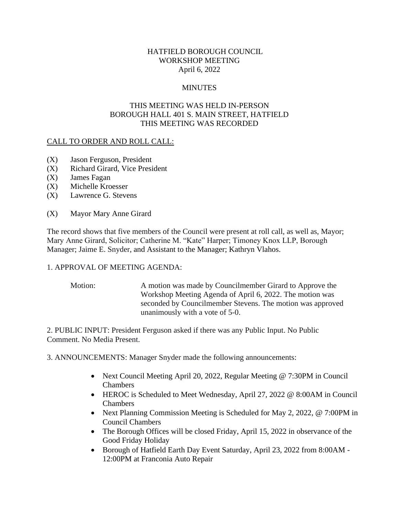# HATFIELD BOROUGH COUNCIL WORKSHOP MEETING April 6, 2022

# **MINUTES**

# THIS MEETING WAS HELD IN-PERSON BOROUGH HALL 401 S. MAIN STREET, HATFIELD THIS MEETING WAS RECORDED

### CALL TO ORDER AND ROLL CALL:

- (X) Jason Ferguson, President
- (X) Richard Girard, Vice President
- (X) James Fagan
- (X) Michelle Kroesser
- (X) Lawrence G. Stevens
- (X) Mayor Mary Anne Girard

The record shows that five members of the Council were present at roll call, as well as, Mayor; Mary Anne Girard, Solicitor; Catherine M. "Kate" Harper; Timoney Knox LLP, Borough Manager; Jaime E. Snyder, and Assistant to the Manager; Kathryn Vlahos.

### 1. APPROVAL OF MEETING AGENDA:

Motion: A motion was made by Councilmember Girard to Approve the Workshop Meeting Agenda of April 6, 2022. The motion was seconded by Councilmember Stevens. The motion was approved unanimously with a vote of 5-0.

2. PUBLIC INPUT: President Ferguson asked if there was any Public Input. No Public Comment. No Media Present.

3. ANNOUNCEMENTS: Manager Snyder made the following announcements:

- Next Council Meeting April 20, 2022, Regular Meeting @ 7:30PM in Council Chambers
- HEROC is Scheduled to Meet Wednesday, April 27, 2022 @ 8:00AM in Council Chambers
- Next Planning Commission Meeting is Scheduled for May 2, 2022, @ 7:00PM in Council Chambers
- The Borough Offices will be closed Friday, April 15, 2022 in observance of the Good Friday Holiday
- Borough of Hatfield Earth Day Event Saturday, April 23, 2022 from 8:00AM 12:00PM at Franconia Auto Repair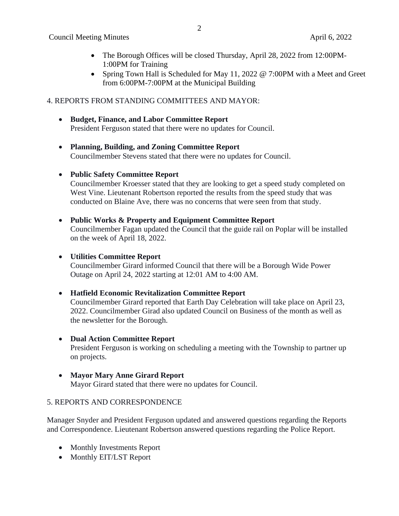- The Borough Offices will be closed Thursday, April 28, 2022 from 12:00 PM-1:00PM for Training
- Spring Town Hall is Scheduled for May 11, 2022 @ 7:00PM with a Meet and Greet from 6:00PM-7:00PM at the Municipal Building

# 4. REPORTS FROM STANDING COMMITTEES AND MAYOR:

- **Budget, Finance, and Labor Committee Report** President Ferguson stated that there were no updates for Council.
- **Planning, Building, and Zoning Committee Report** Councilmember Stevens stated that there were no updates for Council.
- **Public Safety Committee Report**

Councilmember Kroesser stated that they are looking to get a speed study completed on West Vine. Lieutenant Robertson reported the results from the speed study that was conducted on Blaine Ave, there was no concerns that were seen from that study.

### • **Public Works & Property and Equipment Committee Report**

Councilmember Fagan updated the Council that the guide rail on Poplar will be installed on the week of April 18, 2022.

#### • **Utilities Committee Report**

Councilmember Girard informed Council that there will be a Borough Wide Power Outage on April 24, 2022 starting at 12:01 AM to 4:00 AM.

### • **Hatfield Economic Revitalization Committee Report**

Councilmember Girard reported that Earth Day Celebration will take place on April 23, 2022. Councilmember Girad also updated Council on Business of the month as well as the newsletter for the Borough.

• **Dual Action Committee Report**

President Ferguson is working on scheduling a meeting with the Township to partner up on projects.

#### • **Mayor Mary Anne Girard Report**

Mayor Girard stated that there were no updates for Council.

### 5. REPORTS AND CORRESPONDENCE

Manager Snyder and President Ferguson updated and answered questions regarding the Reports and Correspondence. Lieutenant Robertson answered questions regarding the Police Report.

- Monthly Investments Report
- Monthly EIT/LST Report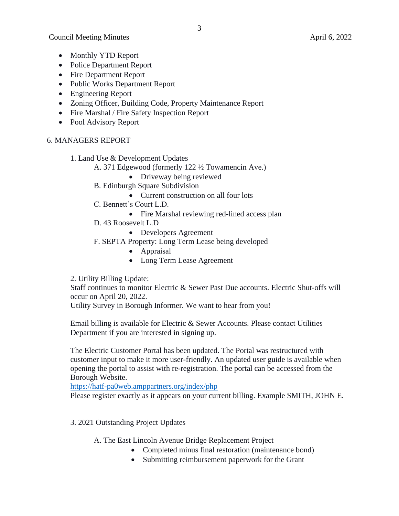- Monthly YTD Report
- Police Department Report
- Fire Department Report
- Public Works Department Report
- Engineering Report
- Zoning Officer, Building Code, Property Maintenance Report
- Fire Marshal / Fire Safety Inspection Report
- Pool Advisory Report

# 6. MANAGERS REPORT

- 1. Land Use & Development Updates
	- A. 371 Edgewood (formerly 122 ½ Towamencin Ave.)
		- Driveway being reviewed
	- B. Edinburgh Square Subdivision
		- Current construction on all four lots
	- C. Bennett's Court L.D.
		- Fire Marshal reviewing red-lined access plan
	- D. 43 Roosevelt L.D
		- Developers Agreement
	- F. SEPTA Property: Long Term Lease being developed
		- Appraisal
		- Long Term Lease Agreement
- 2. Utility Billing Update:

Staff continues to monitor Electric & Sewer Past Due accounts. Electric Shut-offs will occur on April 20, 2022.

Utility Survey in Borough Informer. We want to hear from you!

Email billing is available for Electric & Sewer Accounts. Please contact Utilities Department if you are interested in signing up.

The Electric Customer Portal has been updated. The Portal was restructured with customer input to make it more user-friendly. An updated user guide is available when opening the portal to assist with re-registration. The portal can be accessed from the Borough Website.

<https://hatf-pa0web.amppartners.org/index/php>

Please register exactly as it appears on your current billing. Example SMITH, JOHN E.

3. 2021 Outstanding Project Updates

A. The East Lincoln Avenue Bridge Replacement Project

- Completed minus final restoration (maintenance bond)
- Submitting reimbursement paperwork for the Grant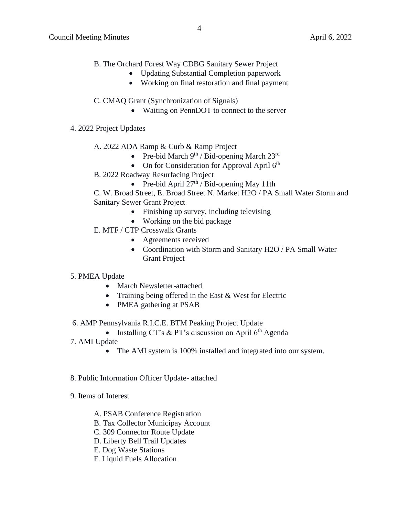- B. The Orchard Forest Way CDBG Sanitary Sewer Project
	- Updating Substantial Completion paperwork
	- Working on final restoration and final payment
- C. CMAQ Grant (Synchronization of Signals)
	- Waiting on PennDOT to connect to the server
- 4. 2022 Project Updates
	- A. 2022 ADA Ramp & Curb & Ramp Project
		- Pre-bid March  $9^{th}$  / Bid-opening March  $23^{rd}$
		- On for Consideration for Approval April  $6<sup>th</sup>$
	- B. 2022 Roadway Resurfacing Project
		- Pre-bid April  $27<sup>th</sup>$  / Bid-opening May 11th

C. W. Broad Street, E. Broad Street N. Market H2O / PA Small Water Storm and Sanitary Sewer Grant Project

- Finishing up survey, including televising
- Working on the bid package
- E. MTF / CTP Crosswalk Grants
	- Agreements received
	- Coordination with Storm and Sanitary H2O / PA Small Water Grant Project

### 5. PMEA Update

- March Newsletter-attached
- Training being offered in the East & West for Electric
- PMEA gathering at PSAB
- 6. AMP Pennsylvania R.I.C.E. BTM Peaking Project Update
	- Installing CT's & PT's discussion on April  $6<sup>th</sup>$  Agenda
- 7. AMI Update
	- The AMI system is 100% installed and integrated into our system.
- 8. Public Information Officer Update- attached
- 9. Items of Interest
	- A. PSAB Conference Registration
	- B. Tax Collector Municipay Account
	- C. 309 Connector Route Update
	- D. Liberty Bell Trail Updates
	- E. Dog Waste Stations
	- F. Liquid Fuels Allocation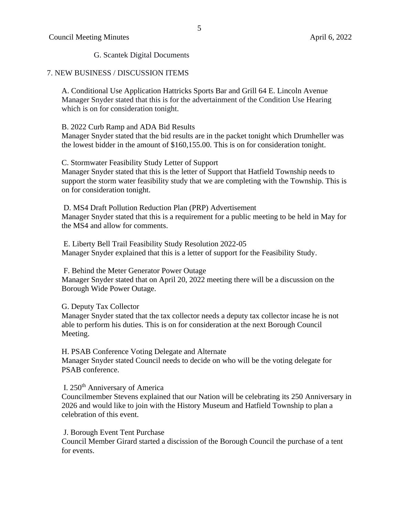G. Scantek Digital Documents

#### 7. NEW BUSINESS / DISCUSSION ITEMS

A. Conditional Use Application Hattricks Sports Bar and Grill 64 E. Lincoln Avenue Manager Snyder stated that this is for the advertainment of the Condition Use Hearing which is on for consideration tonight.

#### B. 2022 Curb Ramp and ADA Bid Results

Manager Snyder stated that the bid results are in the packet tonight which Drumheller was the lowest bidder in the amount of \$160,155.00. This is on for consideration tonight.

#### C. Stormwater Feasibility Study Letter of Support

Manager Snyder stated that this is the letter of Support that Hatfield Township needs to support the storm water feasibility study that we are completing with the Township. This is on for consideration tonight.

D. MS4 Draft Pollution Reduction Plan (PRP) Advertisement Manager Snyder stated that this is a requirement for a public meeting to be held in May for the MS4 and allow for comments.

E. Liberty Bell Trail Feasibility Study Resolution 2022-05 Manager Snyder explained that this is a letter of support for the Feasibility Study.

F. Behind the Meter Generator Power Outage Manager Snyder stated that on April 20, 2022 meeting there will be a discussion on the Borough Wide Power Outage.

G. Deputy Tax Collector

Manager Snyder stated that the tax collector needs a deputy tax collector incase he is not able to perform his duties. This is on for consideration at the next Borough Council Meeting.

#### H. PSAB Conference Voting Delegate and Alternate Manager Snyder stated Council needs to decide on who will be the voting delegate for PSAB conference.

# I. 250th Anniversary of America

Councilmember Stevens explained that our Nation will be celebrating its 250 Anniversary in 2026 and would like to join with the History Museum and Hatfield Township to plan a celebration of this event.

### J. Borough Event Tent Purchase

Council Member Girard started a discission of the Borough Council the purchase of a tent for events.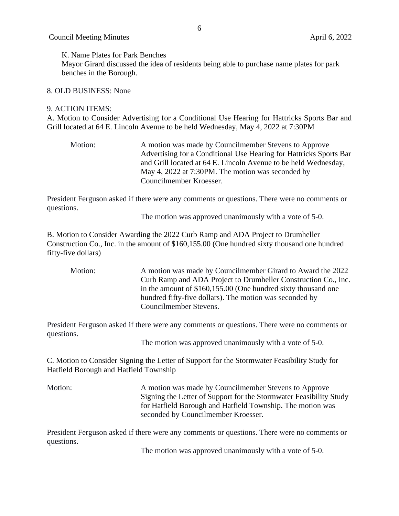K. Name Plates for Park Benches

Mayor Girard discussed the idea of residents being able to purchase name plates for park benches in the Borough.

#### 8. OLD BUSINESS: None

#### 9. ACTION ITEMS:

A. Motion to Consider Advertising for a Conditional Use Hearing for Hattricks Sports Bar and Grill located at 64 E. Lincoln Avenue to be held Wednesday, May 4, 2022 at 7:30PM

Motion: A motion was made by Councilmember Stevens to Approve Advertising for a Conditional Use Hearing for Hattricks Sports Bar and Grill located at 64 E. Lincoln Avenue to be held Wednesday, May 4, 2022 at 7:30PM. The motion was seconded by Councilmember Kroesser.

President Ferguson asked if there were any comments or questions. There were no comments or questions.

The motion was approved unanimously with a vote of 5-0.

B. Motion to Consider Awarding the 2022 Curb Ramp and ADA Project to Drumheller Construction Co., Inc. in the amount of \$160,155.00 (One hundred sixty thousand one hundred fifty-five dollars)

Motion: A motion was made by Councilmember Girard to Award the 2022 Curb Ramp and ADA Project to Drumheller Construction Co., Inc. in the amount of \$160,155.00 (One hundred sixty thousand one hundred fifty-five dollars). The motion was seconded by Councilmember Stevens.

President Ferguson asked if there were any comments or questions. There were no comments or questions.

The motion was approved unanimously with a vote of 5-0.

C. Motion to Consider Signing the Letter of Support for the Stormwater Feasibility Study for Hatfield Borough and Hatfield Township

Motion: A motion was made by Councilmember Stevens to Approve Signing the Letter of Support for the Stormwater Feasibility Study for Hatfield Borough and Hatfield Township. The motion was seconded by Councilmember Kroesser.

President Ferguson asked if there were any comments or questions. There were no comments or questions.

The motion was approved unanimously with a vote of 5-0.